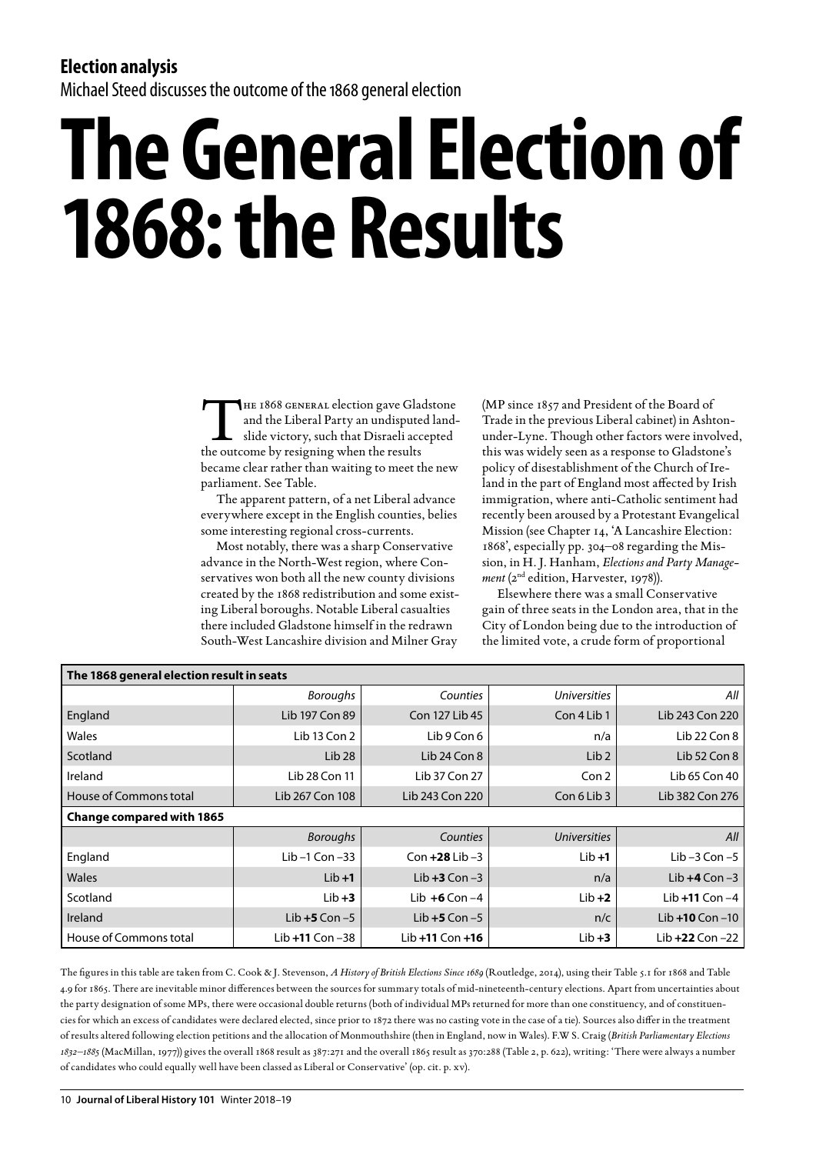## **Election analysis**

Michael Steed discusses the outcome of the 1868 general election

## **The General Election of 1868: the Results**

THE 1868 GENERAL election gave Gladstone<br>and the Liberal Party an undisputed land-<br>slide victory, such that Disraeli accepted<br>the outcome by resigning when the results and the Liberal Party an undisputed landslide victory, such that Disraeli accepted the outcome by resigning when the results became clear rather than waiting to meet the new parliament. See Table.

The apparent pattern, of a net Liberal advance everywhere except in the English counties, belies some interesting regional cross-currents.

Most notably, there was a sharp Conservative advance in the North-West region, where Conservatives won both all the new county divisions created by the 1868 redistribution and some existing Liberal boroughs. Notable Liberal casualties there included Gladstone himself in the redrawn South-West Lancashire division and Milner Gray

(MP since 1857 and President of the Board of Trade in the previous Liberal cabinet) in Ashtonunder-Lyne. Though other factors were involved, this was widely seen as a response to Gladstone's policy of disestablishment of the Church of Ireland in the part of England most affected by Irish immigration, where anti-Catholic sentiment had recently been aroused by a Protestant Evangelical Mission (see Chapter 14, 'A Lancashire Election: 1868', especially pp. 304–08 regarding the Mission, in H. J. Hanham, *Elections and Party Management* (2<sup>nd</sup> edition, Harvester, 1978)).

Elsewhere there was a small Conservative gain of three seats in the London area, that in the City of London being due to the introduction of the limited vote, a crude form of proportional

| The 1868 general election result in seats |                     |                     |                     |                     |
|-------------------------------------------|---------------------|---------------------|---------------------|---------------------|
|                                           | <b>Boroughs</b>     | Counties            | <b>Universities</b> | All                 |
| England                                   | Lib 197 Con 89      | Con 127 Lib 45      | Con 4 Lib 1         | Lib 243 Con 220     |
| Wales                                     | Lib 13 Con 2        | Lib 9 Con 6         | n/a                 | Lib 22 Con 8        |
| Scotland                                  | Lib <sub>28</sub>   | Lib 24 Con $8$      | Lib <sub>2</sub>    | Lib 52 Con $8$      |
| Ireland                                   | Lib 28 Con 11       | Lib 37 Con 27       | Con <sub>2</sub>    | Lib 65 Con 40       |
| House of Commons total                    | Lib 267 Con 108     | Lib 243 Con 220     | Con 6 Lib 3         | Lib 382 Con 276     |
| <b>Change compared with 1865</b>          |                     |                     |                     |                     |
|                                           | <b>Boroughs</b>     | Counties            | <b>Universities</b> | All                 |
| England                                   | Lib-1 Con-33        | Con $+28$ Lib $-3$  | $Lib + 1$           | Lib-3 Con-5         |
| Wales                                     | $Lib + 1$           | Lib $+3$ Con $-3$   | n/a                 | Lib $+4$ Con $-3$   |
| Scotland                                  | $Lib + 3$           | Lib $+6$ Con $-4$   | $Lib + 2$           | Lib $+11$ Con $-4$  |
| Ireland                                   | Lib $+5$ Con $-5$   | Lib $+5$ Con $-5$   | n/c                 | Lib $+10$ Con $-10$ |
| House of Commons total                    | Lib $+11$ Con $-38$ | Lib $+11$ Con $+16$ | $Lib + 3$           | Lib $+22$ Con $-22$ |

The figures in this table are taken from C. Cook & J. Stevenson, *A History of British Elections Since 1689* (Routledge, 2014), using their Table 5.1 for 1868 and Table 4.9 for 1865. There are inevitable minor differences between the sources for summary totals of mid-nineteenth-century elections. Apart from uncertainties about the party designation of some MPs, there were occasional double returns (both of individual MPs returned for more than one constituency, and of constituencies for which an excess of candidates were declared elected, since prior to 1872 there was no casting vote in the case of a tie). Sources also differ in the treatment of results altered following election petitions and the allocation of Monmouthshire (then in England, now in Wales). F.W S. Craig (*British Parliamentary Elections 1832–1885* (MacMillan, 1977)) gives the overall 1868 result as 387:271 and the overall 1865 result as 370:288 (Table 2, p. 622), writing: 'There were always a number of candidates who could equally well have been classed as Liberal or Conservative' (op. cit. p. xv).